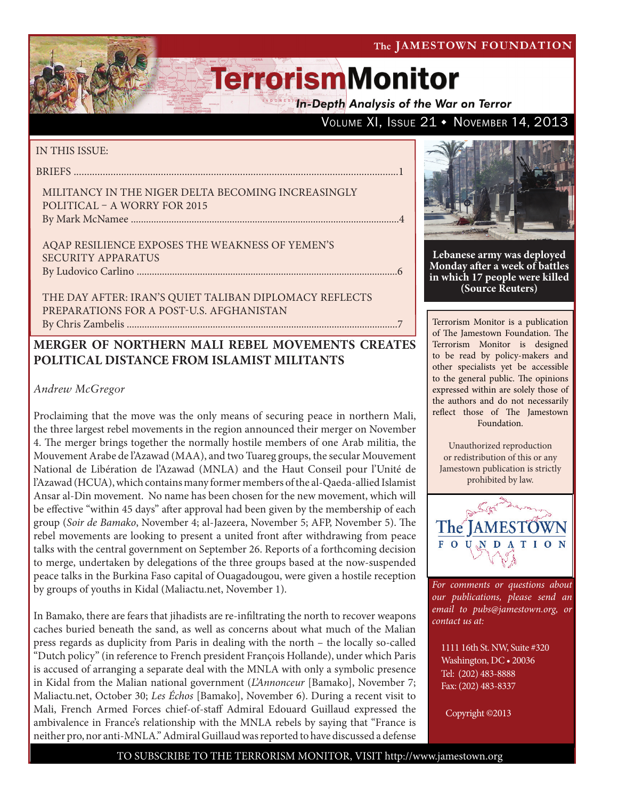The JAMESTOWN FOUNDATION

# **TerrorismMonitor**

**In-Depth Analysis of the War on Terror** 

VOLUME XI, ISSUE 21 • NOVEMBER 14, 2013

### IN THIS ISSUE:

briefs ...........................................................................................................................1

Militancy in the Niger Delta Becoming Increasingly Political – A Worry for 2015 By Mark McNamee ..........................................................................................................4

AQAP Resilience Exposes the Weakness of Yemen's Security Apparatus by Ludovico Carlino .......................................................................................................6

The Day After: Iran's Quiet Taliban Diplomacy Reflects Preparations for a Post-U.S. Afghanistan By Chris Zambelis ...........................................................................................................7

## **MERGER OF NORTHERN MALI REBEL MOVEMENTS CREATES POLITICAL DISTANCE FROM ISLAMIST MILITANTS**

## *Andrew McGregor*

Proclaiming that the move was the only means of securing peace in northern Mali, the three largest rebel movements in the region announced their merger on November 4. The merger brings together the normally hostile members of one Arab militia, the Mouvement Arabe de l'Azawad (MAA), and two Tuareg groups, the secular Mouvement National de Libération de l'Azawad (MNLA) and the Haut Conseil pour l'Unité de l'Azawad (HCUA), which contains many former members of the al-Qaeda-allied Islamist Ansar al-Din movement. No name has been chosen for the new movement, which will be effective "within 45 days" after approval had been given by the membership of each group (*Soir de Bamako*, November 4; al-Jazeera, November 5; AFP, November 5). The rebel movements are looking to present a united front after withdrawing from peace talks with the central government on September 26. Reports of a forthcoming decision to merge, undertaken by delegations of the three groups based at the now-suspended peace talks in the Burkina Faso capital of Ouagadougou, were given a hostile reception by groups of youths in Kidal (Maliactu.net, November 1).

In Bamako, there are fears that jihadists are re-infiltrating the north to recover weapons caches buried beneath the sand, as well as concerns about what much of the Malian press regards as duplicity from Paris in dealing with the north – the locally so-called "Dutch policy" (in reference to French president François Hollande), under which Paris is accused of arranging a separate deal with the MNLA with only a symbolic presence in Kidal from the Malian national government (*L'Annonceur* [Bamako], November 7; Maliactu.net, October 30; *Les Échos* [Bamako], November 6). During a recent visit to Mali, French Armed Forces chief-of-staff Admiral Edouard Guillaud expressed the ambivalence in France's relationship with the MNLA rebels by saying that "France is neither pro, nor anti-MNLA." Admiral Guillaud was reported to have discussed a defense



**Lebanese army was deployed Monday after a week of battles in which 17 people were killed (Source Reuters)**

Terrorism Monitor is a publication of The Jamestown Foundation. The Terrorism Monitor is designed to be read by policy-makers and other specialists yet be accessible to the general public. The opinions expressed within are solely those of the authors and do not necessarily reflect those of The Jamestown Foundation.

Unauthorized reproduction or redistribution of this or any Jamestown publication is strictly prohibited by law.



*For comments or questions about our publications, please send an email to pubs@jamestown.org, or contact us at:* 

1111 16th St. NW, Suite #320 Washington, DC • 20036 Tel: (202) 483-8888 Fax: (202) 483-8337

Copyright ©2013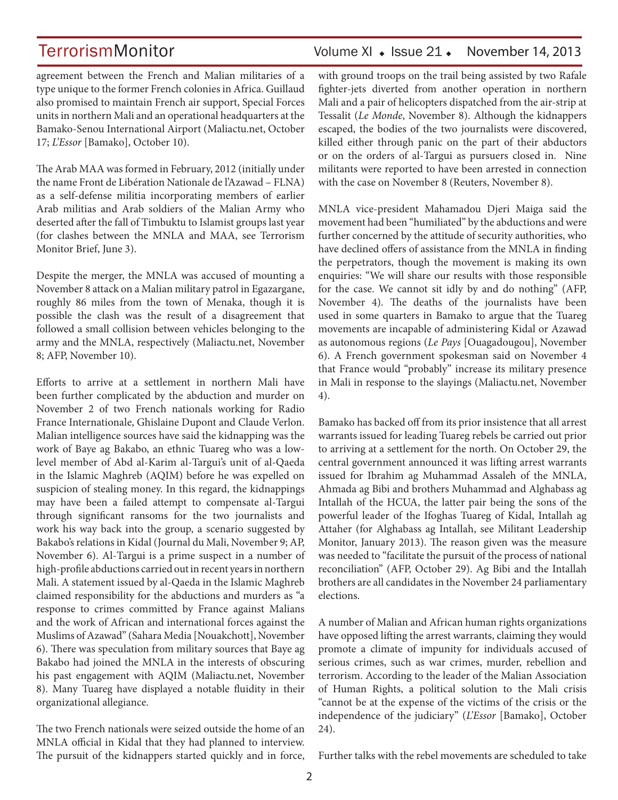agreement between the French and Malian militaries of a type unique to the former French colonies in Africa. Guillaud also promised to maintain French air support, Special Forces units in northern Mali and an operational headquarters at the Bamako-Senou International Airport (Maliactu.net, October 17; *L'Essor* [Bamako], October 10).

The Arab MAA was formed in February, 2012 (initially under the name Front de Libération Nationale de l'Azawad – FLNA) as a self-defense militia incorporating members of earlier Arab militias and Arab soldiers of the Malian Army who deserted after the fall of Timbuktu to Islamist groups last year (for clashes between the MNLA and MAA, see Terrorism Monitor Brief, June 3).

Despite the merger, the MNLA was accused of mounting a November 8 attack on a Malian military patrol in Egazargane, roughly 86 miles from the town of Menaka, though it is possible the clash was the result of a disagreement that followed a small collision between vehicles belonging to the army and the MNLA, respectively (Maliactu.net, November 8; AFP, November 10).

Efforts to arrive at a settlement in northern Mali have been further complicated by the abduction and murder on November 2 of two French nationals working for Radio France Internationale, Ghislaine Dupont and Claude Verlon. Malian intelligence sources have said the kidnapping was the work of Baye ag Bakabo, an ethnic Tuareg who was a lowlevel member of Abd al-Karim al-Targui's unit of al-Qaeda in the Islamic Maghreb (AQIM) before he was expelled on suspicion of stealing money. In this regard, the kidnappings may have been a failed attempt to compensate al-Targui through significant ransoms for the two journalists and work his way back into the group, a scenario suggested by Bakabo's relations in Kidal (Journal du Mali, November 9; AP, November 6). Al-Targui is a prime suspect in a number of high-profile abductions carried out in recent years in northern Mali. A statement issued by al-Qaeda in the Islamic Maghreb claimed responsibility for the abductions and murders as "a response to crimes committed by France against Malians and the work of African and international forces against the Muslims of Azawad" (Sahara Media [Nouakchott], November 6). There was speculation from military sources that Baye ag Bakabo had joined the MNLA in the interests of obscuring his past engagement with AQIM (Maliactu.net, November 8). Many Tuareg have displayed a notable fluidity in their organizational allegiance.

The two French nationals were seized outside the home of an MNLA official in Kidal that they had planned to interview. The pursuit of the kidnappers started quickly and in force,

## TerrorismMonitor Volume XI + Issue 21 + November 14, 2013

with ground troops on the trail being assisted by two Rafale fighter-jets diverted from another operation in northern Mali and a pair of helicopters dispatched from the air-strip at Tessalit (*Le Monde*, November 8). Although the kidnappers escaped, the bodies of the two journalists were discovered, killed either through panic on the part of their abductors or on the orders of al-Targui as pursuers closed in. Nine militants were reported to have been arrested in connection with the case on November 8 (Reuters, November 8).

MNLA vice-president Mahamadou Djeri Maiga said the movement had been "humiliated" by the abductions and were further concerned by the attitude of security authorities, who have declined offers of assistance from the MNLA in finding the perpetrators, though the movement is making its own enquiries: "We will share our results with those responsible for the case. We cannot sit idly by and do nothing" (AFP, November 4). The deaths of the journalists have been used in some quarters in Bamako to argue that the Tuareg movements are incapable of administering Kidal or Azawad as autonomous regions (*Le Pays* [Ouagadougou], November 6). A French government spokesman said on November 4 that France would "probably" increase its military presence in Mali in response to the slayings (Maliactu.net, November 4).

Bamako has backed off from its prior insistence that all arrest warrants issued for leading Tuareg rebels be carried out prior to arriving at a settlement for the north. On October 29, the central government announced it was lifting arrest warrants issued for Ibrahim ag Muhammad Assaleh of the MNLA, Ahmada ag Bibi and brothers Muhammad and Alghabass ag Intallah of the HCUA, the latter pair being the sons of the powerful leader of the Ifoghas Tuareg of Kidal, Intallah ag Attaher (for Alghabass ag Intallah, see Militant Leadership Monitor, January 2013). The reason given was the measure was needed to "facilitate the pursuit of the process of national reconciliation" (AFP, October 29). Ag Bibi and the Intallah brothers are all candidates in the November 24 parliamentary elections.

A number of Malian and African human rights organizations have opposed lifting the arrest warrants, claiming they would promote a climate of impunity for individuals accused of serious crimes, such as war crimes, murder, rebellion and terrorism. According to the leader of the Malian Association of Human Rights, a political solution to the Mali crisis "cannot be at the expense of the victims of the crisis or the independence of the judiciary" (*L'Essor* [Bamako], October 24).

Further talks with the rebel movements are scheduled to take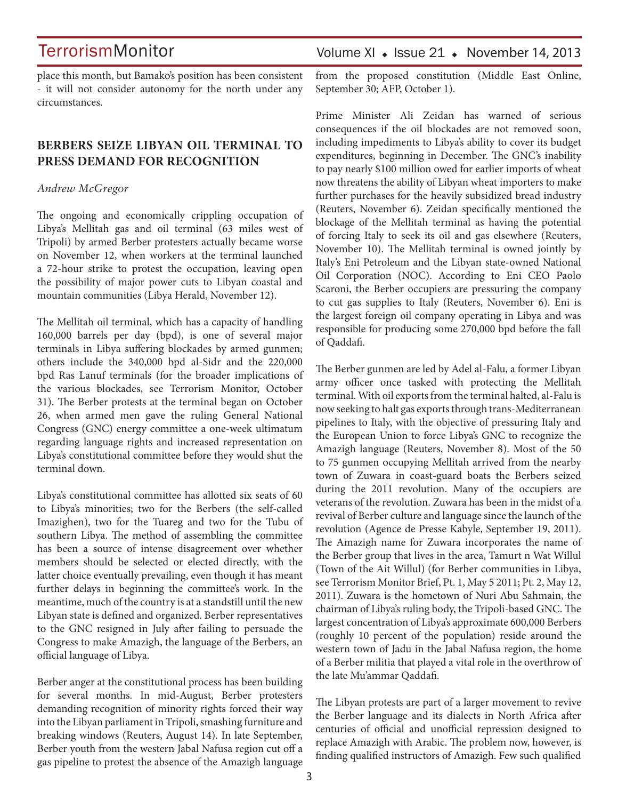place this month, but Bamako's position has been consistent - it will not consider autonomy for the north under any circumstances.

## **BERBERS SEIZE LIBYAN OIL TERMINAL TO PRESS DEMAND FOR RECOGNITION**

#### *Andrew McGregor*

The ongoing and economically crippling occupation of Libya's Mellitah gas and oil terminal (63 miles west of Tripoli) by armed Berber protesters actually became worse on November 12, when workers at the terminal launched a 72-hour strike to protest the occupation, leaving open the possibility of major power cuts to Libyan coastal and mountain communities (Libya Herald, November 12).

The Mellitah oil terminal, which has a capacity of handling 160,000 barrels per day (bpd), is one of several major terminals in Libya suffering blockades by armed gunmen; others include the 340,000 bpd al-Sidr and the 220,000 bpd Ras Lanuf terminals (for the broader implications of the various blockades, see Terrorism Monitor, October 31). The Berber protests at the terminal began on October 26, when armed men gave the ruling General National Congress (GNC) energy committee a one-week ultimatum regarding language rights and increased representation on Libya's constitutional committee before they would shut the terminal down.

Libya's constitutional committee has allotted six seats of 60 to Libya's minorities; two for the Berbers (the self-called Imazighen), two for the Tuareg and two for the Tubu of southern Libya. The method of assembling the committee has been a source of intense disagreement over whether members should be selected or elected directly, with the latter choice eventually prevailing, even though it has meant further delays in beginning the committee's work. In the meantime, much of the country is at a standstill until the new Libyan state is defined and organized. Berber representatives to the GNC resigned in July after failing to persuade the Congress to make Amazigh, the language of the Berbers, an official language of Libya.

Berber anger at the constitutional process has been building for several months. In mid-August, Berber protesters demanding recognition of minority rights forced their way into the Libyan parliament in Tripoli, smashing furniture and breaking windows (Reuters, August 14). In late September, Berber youth from the western Jabal Nafusa region cut off a gas pipeline to protest the absence of the Amazigh language

## Volume XI  $\cdot$  Issue 21  $\cdot$  November 14, 2013

from the proposed constitution (Middle East Online, September 30; AFP, October 1).

Prime Minister Ali Zeidan has warned of serious consequences if the oil blockades are not removed soon, including impediments to Libya's ability to cover its budget expenditures, beginning in December. The GNC's inability to pay nearly \$100 million owed for earlier imports of wheat now threatens the ability of Libyan wheat importers to make further purchases for the heavily subsidized bread industry (Reuters, November 6). Zeidan specifically mentioned the blockage of the Mellitah terminal as having the potential of forcing Italy to seek its oil and gas elsewhere (Reuters, November 10). The Mellitah terminal is owned jointly by Italy's Eni Petroleum and the Libyan state-owned National Oil Corporation (NOC). According to Eni CEO Paolo Scaroni, the Berber occupiers are pressuring the company to cut gas supplies to Italy (Reuters, November 6). Eni is the largest foreign oil company operating in Libya and was responsible for producing some 270,000 bpd before the fall of Qaddafi.

The Berber gunmen are led by Adel al-Falu, a former Libyan army officer once tasked with protecting the Mellitah terminal. With oil exports from the terminal halted, al-Falu is now seeking to halt gas exports through trans-Mediterranean pipelines to Italy, with the objective of pressuring Italy and the European Union to force Libya's GNC to recognize the Amazigh language (Reuters, November 8). Most of the 50 to 75 gunmen occupying Mellitah arrived from the nearby town of Zuwara in coast-guard boats the Berbers seized during the 2011 revolution. Many of the occupiers are veterans of the revolution. Zuwara has been in the midst of a revival of Berber culture and language since the launch of the revolution (Agence de Presse Kabyle, September 19, 2011). The Amazigh name for Zuwara incorporates the name of the Berber group that lives in the area, Tamurt n Wat Willul (Town of the Ait Willul) (for Berber communities in Libya, see Terrorism Monitor Brief, Pt. 1, May 5 2011; Pt. 2, May 12, 2011). Zuwara is the hometown of Nuri Abu Sahmain, the chairman of Libya's ruling body, the Tripoli-based GNC. The largest concentration of Libya's approximate 600,000 Berbers (roughly 10 percent of the population) reside around the western town of Jadu in the Jabal Nafusa region, the home of a Berber militia that played a vital role in the overthrow of the late Mu'ammar Qaddafi.

The Libyan protests are part of a larger movement to revive the Berber language and its dialects in North Africa after centuries of official and unofficial repression designed to replace Amazigh with Arabic. The problem now, however, is finding qualified instructors of Amazigh. Few such qualified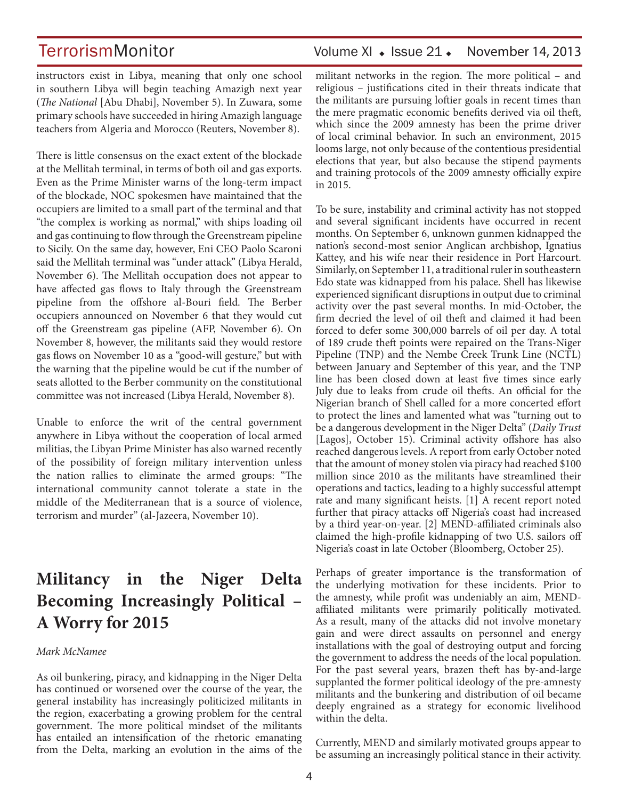TerrorismMonitor Volume XI + Issue 21 + November 14, 2013

instructors exist in Libya, meaning that only one school in southern Libya will begin teaching Amazigh next year (*The National* [Abu Dhabi], November 5). In Zuwara, some primary schools have succeeded in hiring Amazigh language teachers from Algeria and Morocco (Reuters, November 8).

There is little consensus on the exact extent of the blockade at the Mellitah terminal, in terms of both oil and gas exports. Even as the Prime Minister warns of the long-term impact of the blockade, NOC spokesmen have maintained that the occupiers are limited to a small part of the terminal and that "the complex is working as normal," with ships loading oil and gas continuing to flow through the Greenstream pipeline to Sicily. On the same day, however, Eni CEO Paolo Scaroni said the Mellitah terminal was "under attack" (Libya Herald, November 6). The Mellitah occupation does not appear to have affected gas flows to Italy through the Greenstream pipeline from the offshore al-Bouri field. The Berber occupiers announced on November 6 that they would cut off the Greenstream gas pipeline (AFP, November 6). On November 8, however, the militants said they would restore gas flows on November 10 as a "good-will gesture," but with the warning that the pipeline would be cut if the number of seats allotted to the Berber community on the constitutional committee was not increased (Libya Herald, November 8).

Unable to enforce the writ of the central government anywhere in Libya without the cooperation of local armed militias, the Libyan Prime Minister has also warned recently of the possibility of foreign military intervention unless the nation rallies to eliminate the armed groups: "The international community cannot tolerate a state in the middle of the Mediterranean that is a source of violence, terrorism and murder" (al-Jazeera, November 10).

## **Militancy in the Niger Delta Becoming Increasingly Political – A Worry for 2015**

#### *Mark McNamee*

As oil bunkering, piracy, and kidnapping in the Niger Delta has continued or worsened over the course of the year, the general instability has increasingly politicized militants in the region, exacerbating a growing problem for the central government. The more political mindset of the militants has entailed an intensification of the rhetoric emanating from the Delta, marking an evolution in the aims of the militant networks in the region. The more political – and religious – justifications cited in their threats indicate that the militants are pursuing loftier goals in recent times than the mere pragmatic economic benefits derived via oil theft, which since the 2009 amnesty has been the prime driver of local criminal behavior. In such an environment, 2015 looms large, not only because of the contentious presidential elections that year, but also because the stipend payments and training protocols of the 2009 amnesty officially expire in 2015.

To be sure, instability and criminal activity has not stopped and several significant incidents have occurred in recent months. On September 6, unknown gunmen kidnapped the nation's second-most senior Anglican archbishop, Ignatius Kattey, and his wife near their residence in Port Harcourt. Similarly, on September 11, a traditional ruler in southeastern Edo state was kidnapped from his palace. Shell has likewise experienced significant disruptions in output due to criminal activity over the past several months. In mid-October, the firm decried the level of oil theft and claimed it had been forced to defer some 300,000 barrels of oil per day. A total of 189 crude theft points were repaired on the Trans-Niger Pipeline (TNP) and the Nembe Creek Trunk Line (NCTL) between January and September of this year, and the TNP line has been closed down at least five times since early July due to leaks from crude oil thefts. An official for the Nigerian branch of Shell called for a more concerted effort to protect the lines and lamented what was "turning out to be a dangerous development in the Niger Delta" (*Daily Trust*  [Lagos], October 15). Criminal activity offshore has also reached dangerous levels. A report from early October noted that the amount of money stolen via piracy had reached \$100 million since 2010 as the militants have streamlined their operations and tactics, leading to a highly successful attempt rate and many significant heists. [1] A recent report noted further that piracy attacks off Nigeria's coast had increased by a third year-on-year. [2] MEND-affiliated criminals also claimed the high-profile kidnapping of two U.S. sailors off Nigeria's coast in late October (Bloomberg, October 25).

Perhaps of greater importance is the transformation of the underlying motivation for these incidents. Prior to the amnesty, while profit was undeniably an aim, MENDaffiliated militants were primarily politically motivated. As a result, many of the attacks did not involve monetary gain and were direct assaults on personnel and energy installations with the goal of destroying output and forcing the government to address the needs of the local population. For the past several years, brazen theft has by-and-large supplanted the former political ideology of the pre-amnesty militants and the bunkering and distribution of oil became deeply engrained as a strategy for economic livelihood within the delta.

Currently, MEND and similarly motivated groups appear to be assuming an increasingly political stance in their activity.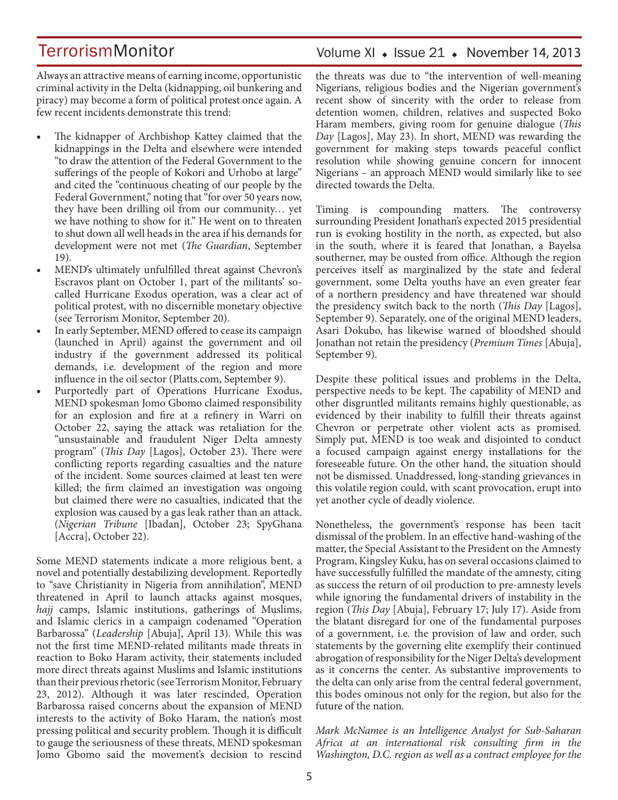Volume XI · Issue 21 · November 14, 2013

Always an attractive means of earning income, opportunistic criminal activity in the Delta (kidnapping, oil bunkering and piracy) may become a form of political protest once again. A few recent incidents demonstrate this trend:

- The kidnapper of Archbishop Kattey claimed that the kidnappings in the Delta and elsewhere were intended "to draw the attention of the Federal Government to the sufferings of the people of Kokori and Urhobo at large" and cited the "continuous cheating of our people by the Federal Government," noting that "for over 50 years now, they have been drilling oil from our community… yet we have nothing to show for it." He went on to threaten to shut down all well heads in the area if his demands for development were not met (*The Guardian*, September 19).
- MEND's ultimately unfulfilled threat against Chevron's Escravos plant on October 1, part of the militants' socalled Hurricane Exodus operation, was a clear act of political protest, with no discernible monetary objective (see Terrorism Monitor, September 20).
- In early September, MEND offered to cease its campaign (launched in April) against the government and oil industry if the government addressed its political demands, i.e. development of the region and more influence in the oil sector (Platts.com, September 9).
- Purportedly part of Operations Hurricane Exodus, MEND spokesman Jomo Gbomo claimed responsibility for an explosion and fire at a refinery in Warri on October 22, saying the attack was retaliation for the "unsustainable and fraudulent Niger Delta amnesty program" (*This Day* [Lagos], October 23). There were conflicting reports regarding casualties and the nature of the incident. Some sources claimed at least ten were killed; the firm claimed an investigation was ongoing but claimed there were no casualties, indicated that the explosion was caused by a gas leak rather than an attack. (*Nigerian Tribune* [Ibadan], October 23; SpyGhana [Accra], October 22).

Some MEND statements indicate a more religious bent, a novel and potentially destabilizing development. Reportedly to "save Christianity in Nigeria from annihilation", MEND threatened in April to launch attacks against mosques, *hajj* camps, Islamic institutions, gatherings of Muslims, and Islamic clerics in a campaign codenamed "Operation Barbarossa" (*Leadership* [Abuja], April 13). While this was not the first time MEND-related militants made threats in reaction to Boko Haram activity, their statements included more direct threats against Muslims and Islamic institutions than their previous rhetoric (see Terrorism Monitor, February 23, 2012). Although it was later rescinded, Operation Barbarossa raised concerns about the expansion of MEND interests to the activity of Boko Haram, the nation's most pressing political and security problem. Though it is difficult to gauge the seriousness of these threats, MEND spokesman Jomo Gbomo said the movement's decision to rescind

the threats was due to "the intervention of well-meaning Nigerians, religious bodies and the Nigerian government's recent show of sincerity with the order to release from detention women, children, relatives and suspected Boko Haram members, giving room for genuine dialogue (*This Day* [Lagos], May 23). In short, MEND was rewarding the government for making steps towards peaceful conflict resolution while showing genuine concern for innocent Nigerians – an approach MEND would similarly like to see directed towards the Delta.

Timing is compounding matters. The controversy surrounding President Jonathan's expected 2015 presidential run is evoking hostility in the north, as expected, but also in the south, where it is feared that Jonathan, a Bayelsa southerner, may be ousted from office. Although the region perceives itself as marginalized by the state and federal government, some Delta youths have an even greater fear of a northern presidency and have threatened war should the presidency switch back to the north (*This Day* [Lagos], September 9). Separately, one of the original MEND leaders, Asari Dokubo, has likewise warned of bloodshed should Jonathan not retain the presidency (*Premium Times* [Abuja], September 9).

Despite these political issues and problems in the Delta, perspective needs to be kept. The capability of MEND and other disgruntled militants remains highly questionable, as evidenced by their inability to fulfill their threats against Chevron or perpetrate other violent acts as promised. Simply put, MEND is too weak and disjointed to conduct a focused campaign against energy installations for the foreseeable future. On the other hand, the situation should not be dismissed. Unaddressed, long-standing grievances in this volatile region could, with scant provocation, erupt into yet another cycle of deadly violence.

Nonetheless, the government's response has been tacit dismissal of the problem. In an effective hand-washing of the matter, the Special Assistant to the President on the Amnesty Program, Kingsley Kuku, has on several occasions claimed to have successfully fulfilled the mandate of the amnesty, citing as success the return of oil production to pre-amnesty levels while ignoring the fundamental drivers of instability in the region (*This Day* [Abuja], February 17; July 17). Aside from the blatant disregard for one of the fundamental purposes of a government, i.e. the provision of law and order, such statements by the governing elite exemplify their continued abrogation of responsibility for the Niger Delta's development as it concerns the center. As substantive improvements to the delta can only arise from the central federal government, this bodes ominous not only for the region, but also for the future of the nation.

*Mark McNamee is an Intelligence Analyst for Sub-Saharan Africa at an international risk consulting firm in the Washington, D.C. region as well as a contract employee for the*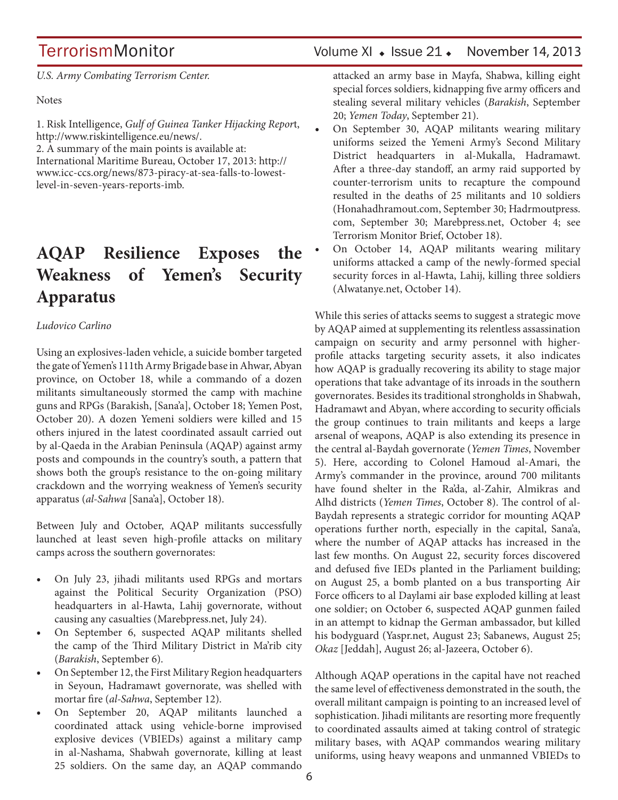TerrorismMonitor Volume XI + Issue 21 + November 14, 2013

*U.S. Army Combating Terrorism Center.*

Notes

1. Risk Intelligence, *Gulf of Guinea Tanker Hijacking Repor*t, http://www.riskintelligence.eu/news/.

2. A summary of the main points is available at:

International Maritime Bureau, October 17, 2013: http:// www.icc-ccs.org/news/873-piracy-at-sea-falls-to-lowestlevel-in-seven-years-reports-imb.

## **AQAP Resilience Exposes the Weakness of Yemen's Security Apparatus**

### *Ludovico Carlino*

Using an explosives-laden vehicle, a suicide bomber targeted the gate of Yemen's 111th Army Brigade base in Ahwar, Abyan province, on October 18, while a commando of a dozen militants simultaneously stormed the camp with machine guns and RPGs (Barakish, [Sana'a], October 18; Yemen Post, October 20). A dozen Yemeni soldiers were killed and 15 others injured in the latest coordinated assault carried out by al-Qaeda in the Arabian Peninsula (AQAP) against army posts and compounds in the country's south, a pattern that shows both the group's resistance to the on-going military crackdown and the worrying weakness of Yemen's security apparatus (*al-Sahwa* [Sana'a], October 18).

Between July and October, AQAP militants successfully launched at least seven high-profile attacks on military camps across the southern governorates:

- On July 23, jihadi militants used RPGs and mortars against the Political Security Organization (PSO) headquarters in al-Hawta, Lahij governorate, without causing any casualties (Marebpress.net, July 24).
- On September 6, suspected AQAP militants shelled the camp of the Third Military District in Ma'rib city (*Barakish*, September 6).
- On September 12, the First Military Region headquarters in Seyoun, Hadramawt governorate, was shelled with mortar fire (*al-Sahwa*, September 12).
- On September 20, AQAP militants launched a coordinated attack using vehicle-borne improvised explosive devices (VBIEDs) against a military camp in al-Nashama, Shabwah governorate, killing at least 25 soldiers. On the same day, an AQAP commando

attacked an army base in Mayfa, Shabwa, killing eight special forces soldiers, kidnapping five army officers and stealing several military vehicles (*Barakish*, September 20; *Yemen Today*, September 21).

- On September 30, AQAP militants wearing military uniforms seized the Yemeni Army's Second Military District headquarters in al-Mukalla, Hadramawt. After a three-day standoff, an army raid supported by counter-terrorism units to recapture the compound resulted in the deaths of 25 militants and 10 soldiers (Honahadhramout.com, September 30; Hadrmoutpress. com, September 30; Marebpress.net, October 4; see Terrorism Monitor Brief, October 18).
- On October 14, AQAP militants wearing military uniforms attacked a camp of the newly-formed special security forces in al-Hawta, Lahij, killing three soldiers (Alwatanye.net, October 14).

While this series of attacks seems to suggest a strategic move by AQAP aimed at supplementing its relentless assassination campaign on security and army personnel with higherprofile attacks targeting security assets, it also indicates how AQAP is gradually recovering its ability to stage major operations that take advantage of its inroads in the southern governorates. Besides its traditional strongholds in Shabwah, Hadramawt and Abyan, where according to security officials the group continues to train militants and keeps a large arsenal of weapons, AQAP is also extending its presence in the central al-Baydah governorate (*Yemen Times*, November 5). Here, according to Colonel Hamoud al-Amari, the Army's commander in the province, around 700 militants have found shelter in the Ra'da, al-Zahir, Almikras and Alhd districts (*Yemen Times*, October 8). The control of al-Baydah represents a strategic corridor for mounting AQAP operations further north, especially in the capital, Sana'a, where the number of AQAP attacks has increased in the last few months. On August 22, security forces discovered and defused five IEDs planted in the Parliament building; on August 25, a bomb planted on a bus transporting Air Force officers to al Daylami air base exploded killing at least one soldier; on October 6, suspected AQAP gunmen failed in an attempt to kidnap the German ambassador, but killed his bodyguard (Yaspr.net, August 23; Sabanews, August 25; *Okaz* [Jeddah], August 26; al-Jazeera, October 6).

Although AQAP operations in the capital have not reached the same level of effectiveness demonstrated in the south, the overall militant campaign is pointing to an increased level of sophistication. Jihadi militants are resorting more frequently to coordinated assaults aimed at taking control of strategic military bases, with AQAP commandos wearing military uniforms, using heavy weapons and unmanned VBIEDs to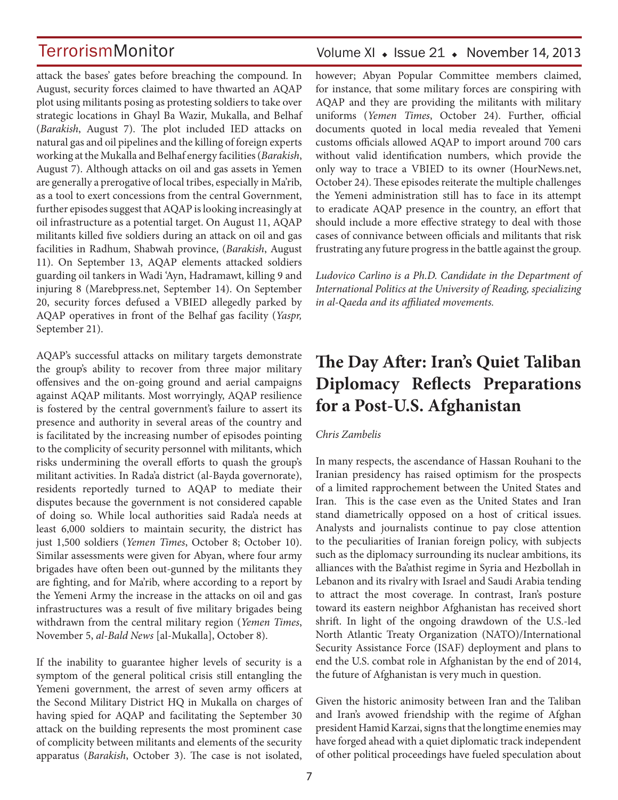attack the bases' gates before breaching the compound. In August, security forces claimed to have thwarted an AQAP plot using militants posing as protesting soldiers to take over strategic locations in Ghayl Ba Wazir, Mukalla, and Belhaf (*Barakish*, August 7). The plot included IED attacks on natural gas and oil pipelines and the killing of foreign experts working at the Mukalla and Belhaf energy facilities (*Barakish*, August 7). Although attacks on oil and gas assets in Yemen are generally a prerogative of local tribes, especially in Ma'rib, as a tool to exert concessions from the central Government, further episodes suggest that AQAP is looking increasingly at oil infrastructure as a potential target. On August 11, AQAP militants killed five soldiers during an attack on oil and gas facilities in Radhum, Shabwah province, (*Barakish*, August 11). On September 13, AQAP elements attacked soldiers guarding oil tankers in Wadi 'Ayn, Hadramawt, killing 9 and injuring 8 (Marebpress.net, September 14). On September 20, security forces defused a VBIED allegedly parked by AQAP operatives in front of the Belhaf gas facility (*Yaspr,*  September 21).

AQAP's successful attacks on military targets demonstrate the group's ability to recover from three major military offensives and the on-going ground and aerial campaigns against AQAP militants. Most worryingly, AQAP resilience is fostered by the central government's failure to assert its presence and authority in several areas of the country and is facilitated by the increasing number of episodes pointing to the complicity of security personnel with militants, which risks undermining the overall efforts to quash the group's militant activities. In Rada'a district (al-Bayda governorate), residents reportedly turned to AQAP to mediate their disputes because the government is not considered capable of doing so. While local authorities said Rada'a needs at least 6,000 soldiers to maintain security, the district has just 1,500 soldiers (*Yemen Times*, October 8; October 10). Similar assessments were given for Abyan, where four army brigades have often been out-gunned by the militants they are fighting, and for Ma'rib, where according to a report by the Yemeni Army the increase in the attacks on oil and gas infrastructures was a result of five military brigades being withdrawn from the central military region (*Yemen Times*, November 5, *al-Bald News* [al-Mukalla], October 8).

If the inability to guarantee higher levels of security is a symptom of the general political crisis still entangling the Yemeni government, the arrest of seven army officers at the Second Military District HQ in Mukalla on charges of having spied for AQAP and facilitating the September 30 attack on the building represents the most prominent case of complicity between militants and elements of the security apparatus (*Barakish*, October 3). The case is not isolated,

## Volume XI  $\cdot$  Issue 21  $\cdot$  November 14, 2013

however; Abyan Popular Committee members claimed, for instance, that some military forces are conspiring with AQAP and they are providing the militants with military uniforms (*Yemen Times*, October 24). Further, official documents quoted in local media revealed that Yemeni customs officials allowed AQAP to import around 700 cars without valid identification numbers, which provide the only way to trace a VBIED to its owner (HourNews.net, October 24). These episodes reiterate the multiple challenges the Yemeni administration still has to face in its attempt to eradicate AQAP presence in the country, an effort that should include a more effective strategy to deal with those cases of connivance between officials and militants that risk frustrating any future progress in the battle against the group.

*Ludovico Carlino is a Ph.D. Candidate in the Department of International Politics at the University of Reading, specializing in al-Qaeda and its affiliated movements.*

## **The Day After: Iran's Quiet Taliban Diplomacy Reflects Preparations for a Post-U.S. Afghanistan**

### *Chris Zambelis*

In many respects, the ascendance of Hassan Rouhani to the Iranian presidency has raised optimism for the prospects of a limited rapprochement between the United States and Iran. This is the case even as the United States and Iran stand diametrically opposed on a host of critical issues. Analysts and journalists continue to pay close attention to the peculiarities of Iranian foreign policy, with subjects such as the diplomacy surrounding its nuclear ambitions, its alliances with the Ba'athist regime in Syria and Hezbollah in Lebanon and its rivalry with Israel and Saudi Arabia tending to attract the most coverage. In contrast, Iran's posture toward its eastern neighbor Afghanistan has received short shrift. In light of the ongoing drawdown of the U.S.-led North Atlantic Treaty Organization (NATO)/International Security Assistance Force (ISAF) deployment and plans to end the U.S. combat role in Afghanistan by the end of 2014, the future of Afghanistan is very much in question.

Given the historic animosity between Iran and the Taliban and Iran's avowed friendship with the regime of Afghan president Hamid Karzai, signs that the longtime enemies may have forged ahead with a quiet diplomatic track independent of other political proceedings have fueled speculation about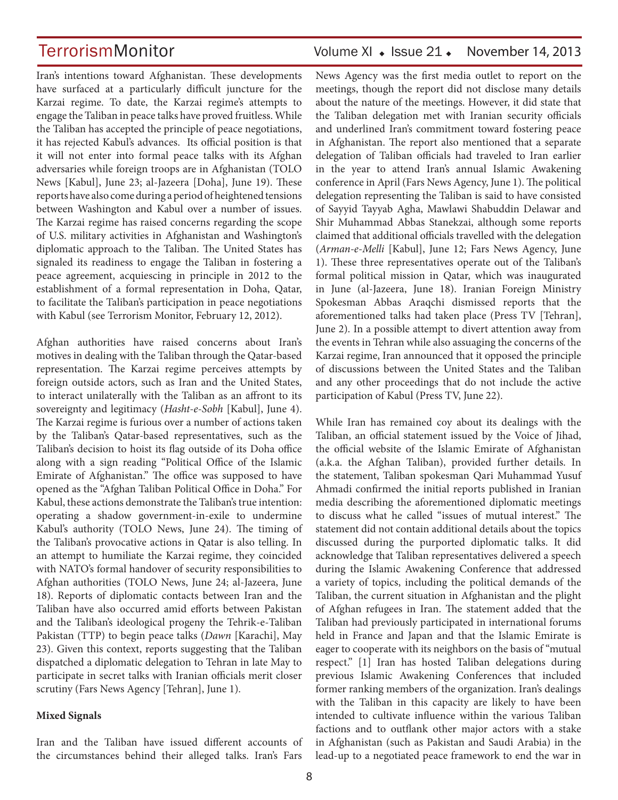Iran's intentions toward Afghanistan. These developments have surfaced at a particularly difficult juncture for the Karzai regime. To date, the Karzai regime's attempts to engage the Taliban in peace talks have proved fruitless. While the Taliban has accepted the principle of peace negotiations, it has rejected Kabul's advances. Its official position is that it will not enter into formal peace talks with its Afghan adversaries while foreign troops are in Afghanistan (TOLO News [Kabul], June 23; al-Jazeera [Doha], June 19). These reports have also come during a period of heightened tensions between Washington and Kabul over a number of issues. The Karzai regime has raised concerns regarding the scope of U.S. military activities in Afghanistan and Washington's diplomatic approach to the Taliban. The United States has signaled its readiness to engage the Taliban in fostering a peace agreement, acquiescing in principle in 2012 to the establishment of a formal representation in Doha, Qatar, to facilitate the Taliban's participation in peace negotiations with Kabul (see Terrorism Monitor, February 12, 2012).

Afghan authorities have raised concerns about Iran's motives in dealing with the Taliban through the Qatar-based representation. The Karzai regime perceives attempts by foreign outside actors, such as Iran and the United States, to interact unilaterally with the Taliban as an affront to its sovereignty and legitimacy (*Hasht-e-Sobh* [Kabul], June 4). The Karzai regime is furious over a number of actions taken by the Taliban's Qatar-based representatives, such as the Taliban's decision to hoist its flag outside of its Doha office along with a sign reading "Political Office of the Islamic Emirate of Afghanistan." The office was supposed to have opened as the "Afghan Taliban Political Office in Doha." For Kabul, these actions demonstrate the Taliban's true intention: operating a shadow government-in-exile to undermine Kabul's authority (TOLO News, June 24). The timing of the Taliban's provocative actions in Qatar is also telling. In an attempt to humiliate the Karzai regime, they coincided with NATO's formal handover of security responsibilities to Afghan authorities (TOLO News, June 24; al-Jazeera, June 18). Reports of diplomatic contacts between Iran and the Taliban have also occurred amid efforts between Pakistan and the Taliban's ideological progeny the Tehrik-e-Taliban Pakistan (TTP) to begin peace talks (*Dawn* [Karachi], May 23). Given this context, reports suggesting that the Taliban dispatched a diplomatic delegation to Tehran in late May to participate in secret talks with Iranian officials merit closer scrutiny (Fars News Agency [Tehran], June 1).

#### **Mixed Signals**

Iran and the Taliban have issued different accounts of the circumstances behind their alleged talks. Iran's Fars

## TerrorismMonitor Volume XI + Issue 21 + November 14, 2013

News Agency was the first media outlet to report on the meetings, though the report did not disclose many details about the nature of the meetings. However, it did state that the Taliban delegation met with Iranian security officials and underlined Iran's commitment toward fostering peace in Afghanistan. The report also mentioned that a separate delegation of Taliban officials had traveled to Iran earlier in the year to attend Iran's annual Islamic Awakening conference in April (Fars News Agency, June 1). The political delegation representing the Taliban is said to have consisted of Sayyid Tayyab Agha, Mawlawi Shabuddin Delawar and Shir Muhammad Abbas Stanekzai, although some reports claimed that additional officials travelled with the delegation (*Arman-e-Melli* [Kabul], June 12; Fars News Agency, June 1). These three representatives operate out of the Taliban's formal political mission in Qatar, which was inaugurated in June (al-Jazeera, June 18). Iranian Foreign Ministry Spokesman Abbas Araqchi dismissed reports that the aforementioned talks had taken place (Press TV [Tehran], June 2). In a possible attempt to divert attention away from the events in Tehran while also assuaging the concerns of the Karzai regime, Iran announced that it opposed the principle of discussions between the United States and the Taliban and any other proceedings that do not include the active participation of Kabul (Press TV, June 22).

While Iran has remained coy about its dealings with the Taliban, an official statement issued by the Voice of Jihad, the official website of the Islamic Emirate of Afghanistan (a.k.a. the Afghan Taliban), provided further details. In the statement, Taliban spokesman Qari Muhammad Yusuf Ahmadi confirmed the initial reports published in Iranian media describing the aforementioned diplomatic meetings to discuss what he called "issues of mutual interest." The statement did not contain additional details about the topics discussed during the purported diplomatic talks. It did acknowledge that Taliban representatives delivered a speech during the Islamic Awakening Conference that addressed a variety of topics, including the political demands of the Taliban, the current situation in Afghanistan and the plight of Afghan refugees in Iran. The statement added that the Taliban had previously participated in international forums held in France and Japan and that the Islamic Emirate is eager to cooperate with its neighbors on the basis of "mutual respect." [1] Iran has hosted Taliban delegations during previous Islamic Awakening Conferences that included former ranking members of the organization. Iran's dealings with the Taliban in this capacity are likely to have been intended to cultivate influence within the various Taliban factions and to outflank other major actors with a stake in Afghanistan (such as Pakistan and Saudi Arabia) in the lead-up to a negotiated peace framework to end the war in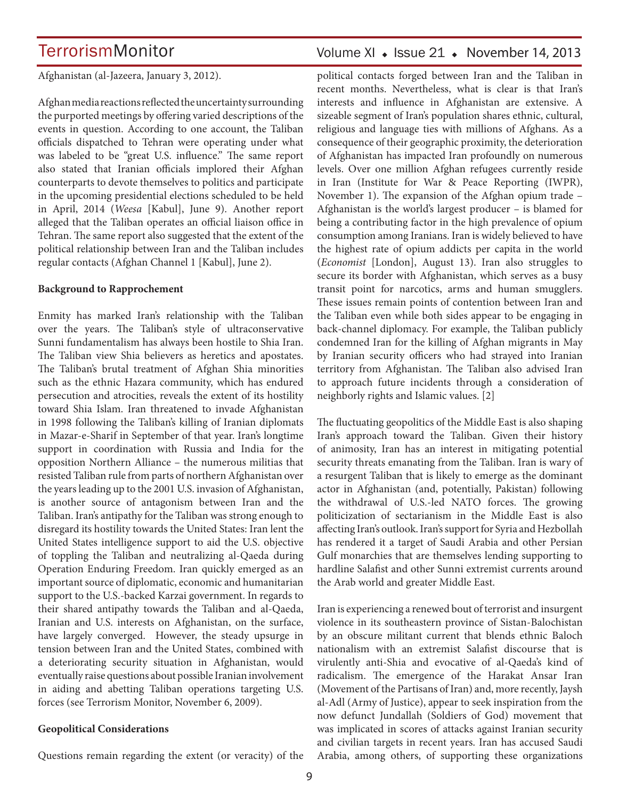Afghanistan (al-Jazeera, January 3, 2012).

Afghan media reactions reflected the uncertainty surrounding the purported meetings by offering varied descriptions of the events in question. According to one account, the Taliban officials dispatched to Tehran were operating under what was labeled to be "great U.S. influence." The same report also stated that Iranian officials implored their Afghan counterparts to devote themselves to politics and participate in the upcoming presidential elections scheduled to be held in April, 2014 (*Weesa* [Kabul], June 9). Another report alleged that the Taliban operates an official liaison office in Tehran. The same report also suggested that the extent of the political relationship between Iran and the Taliban includes regular contacts (Afghan Channel 1 [Kabul], June 2).

### **Background to Rapprochement**

Enmity has marked Iran's relationship with the Taliban over the years. The Taliban's style of ultraconservative Sunni fundamentalism has always been hostile to Shia Iran. The Taliban view Shia believers as heretics and apostates. The Taliban's brutal treatment of Afghan Shia minorities such as the ethnic Hazara community, which has endured persecution and atrocities, reveals the extent of its hostility toward Shia Islam. Iran threatened to invade Afghanistan in 1998 following the Taliban's killing of Iranian diplomats in Mazar-e-Sharif in September of that year. Iran's longtime support in coordination with Russia and India for the opposition Northern Alliance – the numerous militias that resisted Taliban rule from parts of northern Afghanistan over the years leading up to the 2001 U.S. invasion of Afghanistan, is another source of antagonism between Iran and the Taliban. Iran's antipathy for the Taliban was strong enough to disregard its hostility towards the United States: Iran lent the United States intelligence support to aid the U.S. objective of toppling the Taliban and neutralizing al-Qaeda during Operation Enduring Freedom. Iran quickly emerged as an important source of diplomatic, economic and humanitarian support to the U.S.-backed Karzai government. In regards to their shared antipathy towards the Taliban and al-Qaeda, Iranian and U.S. interests on Afghanistan, on the surface, have largely converged. However, the steady upsurge in tension between Iran and the United States, combined with a deteriorating security situation in Afghanistan, would eventually raise questions about possible Iranian involvement in aiding and abetting Taliban operations targeting U.S. forces (see Terrorism Monitor, November 6, 2009).

### **Geopolitical Considerations**

Questions remain regarding the extent (or veracity) of the

## Volume XI + Issue 21 + November 14, 2013

political contacts forged between Iran and the Taliban in recent months. Nevertheless, what is clear is that Iran's interests and influence in Afghanistan are extensive. A sizeable segment of Iran's population shares ethnic, cultural, religious and language ties with millions of Afghans. As a consequence of their geographic proximity, the deterioration of Afghanistan has impacted Iran profoundly on numerous levels. Over one million Afghan refugees currently reside in Iran (Institute for War & Peace Reporting (IWPR), November 1). The expansion of the Afghan opium trade – Afghanistan is the world's largest producer – is blamed for being a contributing factor in the high prevalence of opium consumption among Iranians. Iran is widely believed to have the highest rate of opium addicts per capita in the world (*Economist* [London], August 13). Iran also struggles to secure its border with Afghanistan, which serves as a busy transit point for narcotics, arms and human smugglers. These issues remain points of contention between Iran and the Taliban even while both sides appear to be engaging in back-channel diplomacy. For example, the Taliban publicly condemned Iran for the killing of Afghan migrants in May by Iranian security officers who had strayed into Iranian territory from Afghanistan. The Taliban also advised Iran to approach future incidents through a consideration of neighborly rights and Islamic values. [2]

The fluctuating geopolitics of the Middle East is also shaping Iran's approach toward the Taliban. Given their history of animosity, Iran has an interest in mitigating potential security threats emanating from the Taliban. Iran is wary of a resurgent Taliban that is likely to emerge as the dominant actor in Afghanistan (and, potentially, Pakistan) following the withdrawal of U.S.-led NATO forces. The growing politicization of sectarianism in the Middle East is also affecting Iran's outlook. Iran's support for Syria and Hezbollah has rendered it a target of Saudi Arabia and other Persian Gulf monarchies that are themselves lending supporting to hardline Salafist and other Sunni extremist currents around the Arab world and greater Middle East.

Iran is experiencing a renewed bout of terrorist and insurgent violence in its southeastern province of Sistan-Balochistan by an obscure militant current that blends ethnic Baloch nationalism with an extremist Salafist discourse that is virulently anti-Shia and evocative of al-Qaeda's kind of radicalism. The emergence of the Harakat Ansar Iran (Movement of the Partisans of Iran) and, more recently, Jaysh al-Adl (Army of Justice), appear to seek inspiration from the now defunct Jundallah (Soldiers of God) movement that was implicated in scores of attacks against Iranian security and civilian targets in recent years. Iran has accused Saudi Arabia, among others, of supporting these organizations